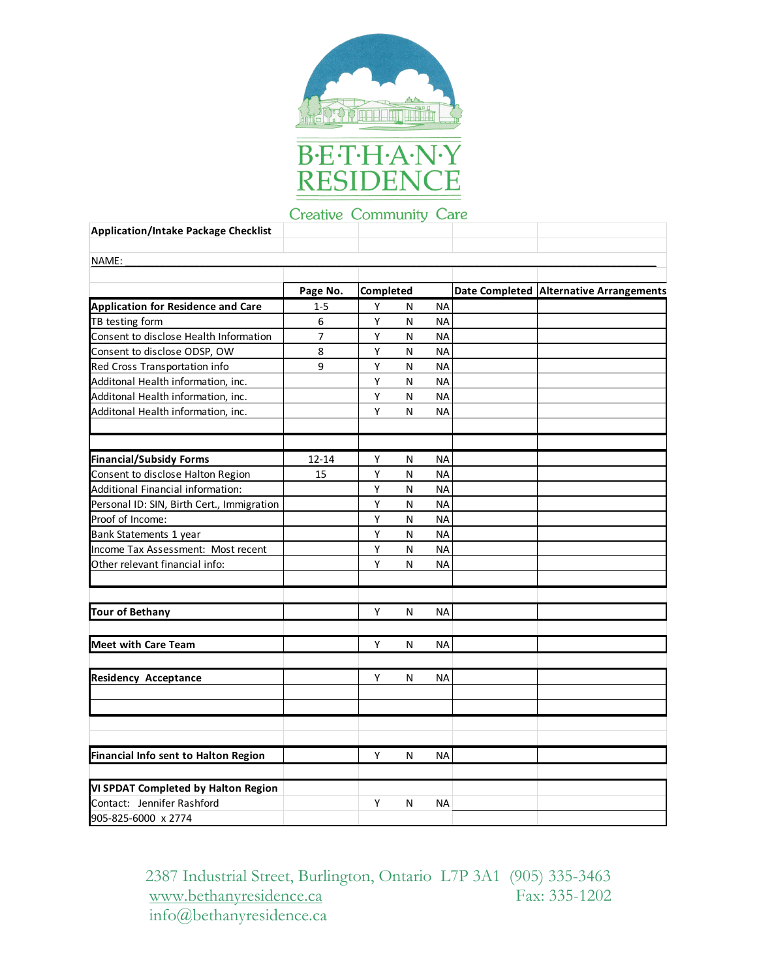



# Creative Community Care

| <b>Application/Intake Package Checklist</b>       |          |           |   |           |                                         |
|---------------------------------------------------|----------|-----------|---|-----------|-----------------------------------------|
| NAME:                                             |          |           |   |           |                                         |
|                                                   |          |           |   |           |                                         |
|                                                   | Page No. | Completed |   |           | Date Completed Alternative Arrangements |
| <b>Application for Residence and Care</b>         | $1 - 5$  | Y         | N | <b>NA</b> |                                         |
| TB testing form                                   | 6        | Υ         | N | <b>NA</b> |                                         |
| Consent to disclose Health Information            | 7        | Υ         | N | <b>NA</b> |                                         |
| Consent to disclose ODSP, OW                      | 8        | Υ         | N | <b>NA</b> |                                         |
| Red Cross Transportation info                     | 9        | Υ         | N | <b>NA</b> |                                         |
| Additonal Health information, inc.                |          | Υ         | N | <b>NA</b> |                                         |
| Additonal Health information, inc.                |          | Υ         | N | <b>NA</b> |                                         |
| Additonal Health information, inc.                |          | Υ         | N | NA        |                                         |
|                                                   |          |           |   |           |                                         |
| <b>Financial/Subsidy Forms</b>                    | 12-14    | Υ<br>Y    | N | ΝA        |                                         |
| Consent to disclose Halton Region                 | 15       |           | N | <b>NA</b> |                                         |
| Additional Financial information:                 |          | Υ         | N | <b>NA</b> |                                         |
| Personal ID: SIN, Birth Cert., Immigration        |          | Y         | N | NA        |                                         |
| Proof of Income:                                  |          | Υ         | N | <b>NA</b> |                                         |
| Bank Statements 1 year                            |          | Υ         | N | <b>NA</b> |                                         |
| Income Tax Assessment: Most recent                |          | Υ         | N | <b>NA</b> |                                         |
| Other relevant financial info:                    |          | Υ         | N | <b>NA</b> |                                         |
| <b>Tour of Bethany</b>                            |          | Υ         | N | NA        |                                         |
|                                                   |          |           |   |           |                                         |
| <b>Meet with Care Team</b>                        |          | Y         | N | <b>NA</b> |                                         |
| <b>Residency Acceptance</b>                       |          | Y         | N | <b>NA</b> |                                         |
|                                                   |          |           |   |           |                                         |
|                                                   |          |           |   |           |                                         |
|                                                   |          |           |   |           |                                         |
| Financial Info sent to Halton Region              |          | Y         | N | <b>NA</b> |                                         |
| VI SPDAT Completed by Halton Region               |          |           |   |           |                                         |
| Contact: Jennifer Rashford<br>905-825-6000 x 2774 |          | Y         | N | <b>NA</b> |                                         |

2387 Industrial Street, Burlington, Ontario L7P 3A1 (905) 335-3463 www.bethanyresidence.ca Fax: 335-1202 info@bethanyresidence.ca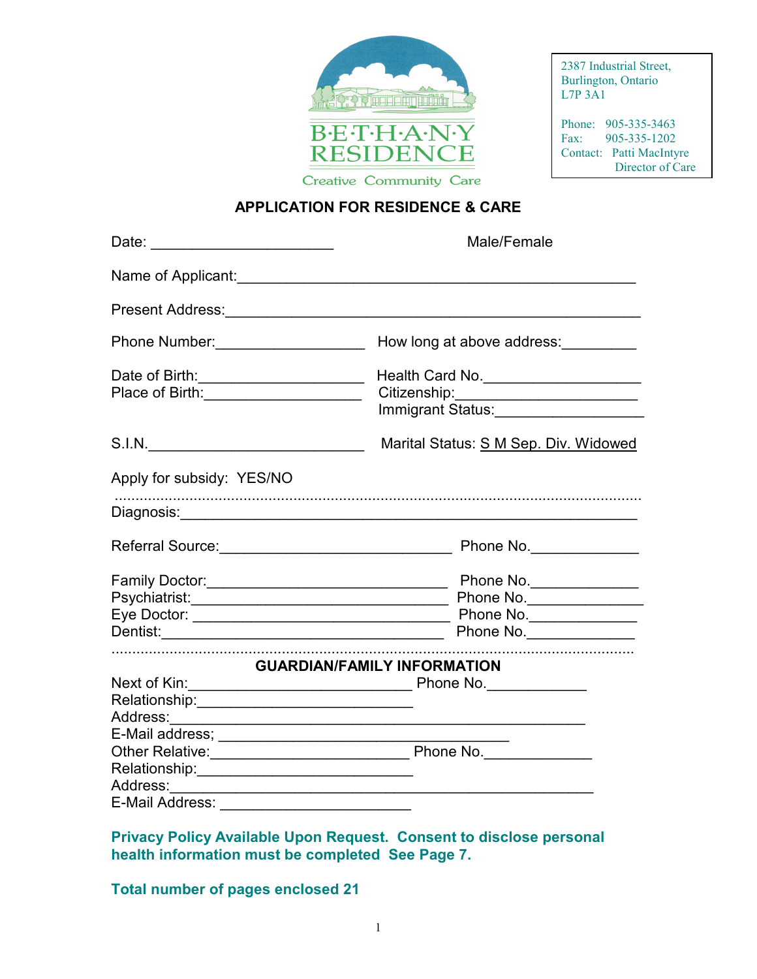

2387 Industrial Street, Burlington, Ontario L7P 3A1

Phone: 905-335-3463<br>Fax: 905-335-1202 Fax: 905-335-1202 Contact: Patti MacIntyre Director of Care

**APPLICATION FOR RESIDENCE & CARE** 

| Date: __________________________                                                                                                                                                                                               | Male/Female                             |
|--------------------------------------------------------------------------------------------------------------------------------------------------------------------------------------------------------------------------------|-----------------------------------------|
| Name of Applicant: We have a series of the series of the series of the series of the series of the series of the series of the series of the series of the series of the series of the series of the series of the series of t |                                         |
|                                                                                                                                                                                                                                |                                         |
| Phone Number: ____________________                                                                                                                                                                                             | How long at above address:              |
| Date of Birth: _________________________                                                                                                                                                                                       | Health Card No. _______________________ |
| Place of Birth: _______________________                                                                                                                                                                                        |                                         |
|                                                                                                                                                                                                                                | Immigrant Status:______________________ |
|                                                                                                                                                                                                                                | Marital Status: S M Sep. Div. Widowed   |
| Apply for subsidy: YES/NO                                                                                                                                                                                                      |                                         |
|                                                                                                                                                                                                                                |                                         |
|                                                                                                                                                                                                                                |                                         |
|                                                                                                                                                                                                                                |                                         |
|                                                                                                                                                                                                                                |                                         |
|                                                                                                                                                                                                                                |                                         |
|                                                                                                                                                                                                                                | Phone No.                               |
|                                                                                                                                                                                                                                | <b>GUARDIAN/FAMILY INFORMATION</b>      |
|                                                                                                                                                                                                                                |                                         |
|                                                                                                                                                                                                                                |                                         |
|                                                                                                                                                                                                                                |                                         |
|                                                                                                                                                                                                                                |                                         |
|                                                                                                                                                                                                                                |                                         |
| Relationship:______________________________                                                                                                                                                                                    |                                         |
|                                                                                                                                                                                                                                |                                         |
| E-Mail Address: ______________________________                                                                                                                                                                                 |                                         |

**Privacy Policy Available Upon Request. Consent to disclose personal health information must be completed See Page 7.** 

**Total number of pages enclosed 21**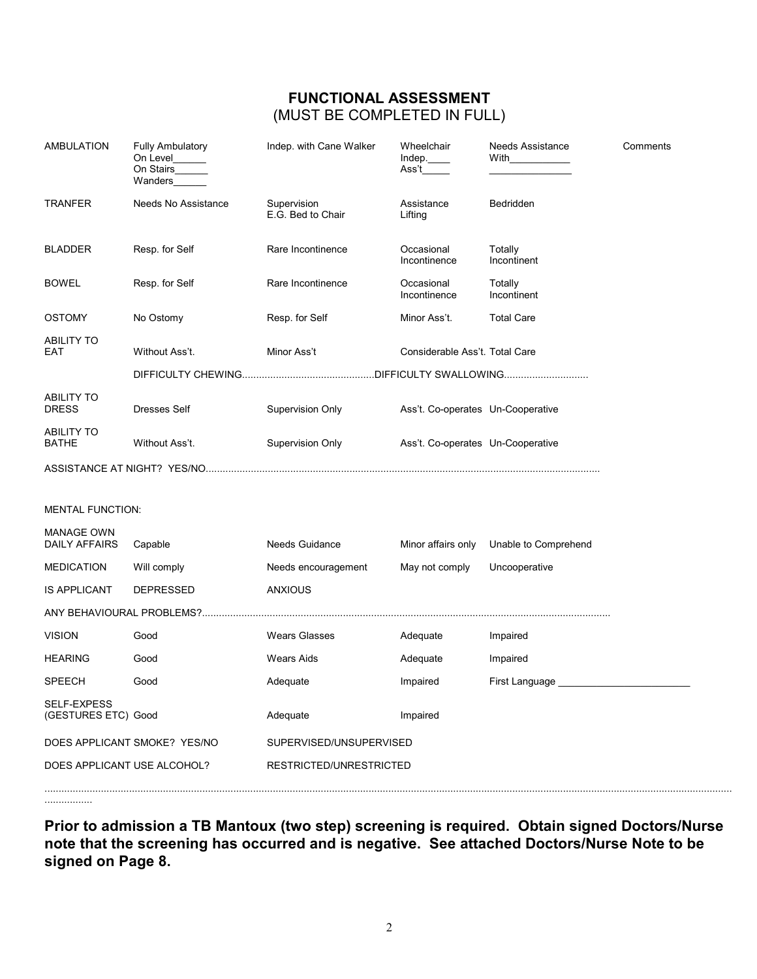# **FUNCTIONAL ASSESSMENT**  (MUST BE COMPLETED IN FULL)

| <b>AMBULATION</b>                         | <b>Fully Ambulatory</b><br>On Level<br>On Stairs<br>Wanders | Indep. with Cane Walker          | Wheelchair<br>Indep.<br>Ass't     | <b>Needs Assistance</b><br>With | Comments |
|-------------------------------------------|-------------------------------------------------------------|----------------------------------|-----------------------------------|---------------------------------|----------|
| <b>TRANFER</b>                            | Needs No Assistance                                         | Supervision<br>E.G. Bed to Chair | Assistance<br>Lifting             | Bedridden                       |          |
| <b>BLADDER</b>                            | Resp. for Self                                              | Rare Incontinence                | Occasional<br>Incontinence        | Totally<br>Incontinent          |          |
| <b>BOWEL</b>                              | Resp. for Self                                              | Rare Incontinence                | Occasional<br>Incontinence        | Totally<br>Incontinent          |          |
| <b>OSTOMY</b>                             | No Ostomy                                                   | Resp. for Self                   | Minor Ass't.                      | <b>Total Care</b>               |          |
| <b>ABILITY TO</b><br>EAT                  | Without Ass't.                                              | Minor Ass't                      | Considerable Ass't. Total Care    |                                 |          |
|                                           |                                                             |                                  |                                   |                                 |          |
| <b>ABILITY TO</b><br><b>DRESS</b>         | <b>Dresses Self</b>                                         | Supervision Only                 | Ass't. Co-operates Un-Cooperative |                                 |          |
| <b>ABILITY TO</b><br><b>BATHE</b>         | Without Ass't.                                              | Supervision Only                 | Ass't. Co-operates Un-Cooperative |                                 |          |
|                                           |                                                             |                                  |                                   |                                 |          |
|                                           |                                                             |                                  |                                   |                                 |          |
| <b>MENTAL FUNCTION:</b>                   |                                                             |                                  |                                   |                                 |          |
| <b>MANAGE OWN</b><br><b>DAILY AFFAIRS</b> | Capable                                                     | Needs Guidance                   | Minor affairs only                | Unable to Comprehend            |          |
| <b>MEDICATION</b>                         | Will comply                                                 | Needs encouragement              | May not comply                    | Uncooperative                   |          |
| <b>IS APPLICANT</b>                       | <b>DEPRESSED</b>                                            | <b>ANXIOUS</b>                   |                                   |                                 |          |
|                                           |                                                             |                                  |                                   |                                 |          |
| <b>VISION</b>                             | Good                                                        | <b>Wears Glasses</b>             | Adequate                          | Impaired                        |          |
| <b>HEARING</b>                            | Good                                                        | <b>Wears Aids</b>                | Adequate                          | Impaired                        |          |
| <b>SPEECH</b>                             | Good                                                        | Adequate                         | Impaired                          | First Language                  |          |
| SELF-EXPESS<br>(GESTURES ETC) Good        |                                                             | Adequate                         | Impaired                          |                                 |          |
|                                           | DOES APPLICANT SMOKE? YES/NO                                | SUPERVISED/UNSUPERVISED          |                                   |                                 |          |
| DOES APPLICANT USE ALCOHOL?               |                                                             | RESTRICTED/UNRESTRICTED          |                                   |                                 |          |
|                                           |                                                             |                                  |                                   |                                 |          |

**Prior to admission a TB Mantoux (two step) screening is required. Obtain signed Doctors/Nurse note that the screening has occurred and is negative. See attached Doctors/Nurse Note to be signed on Page 8.**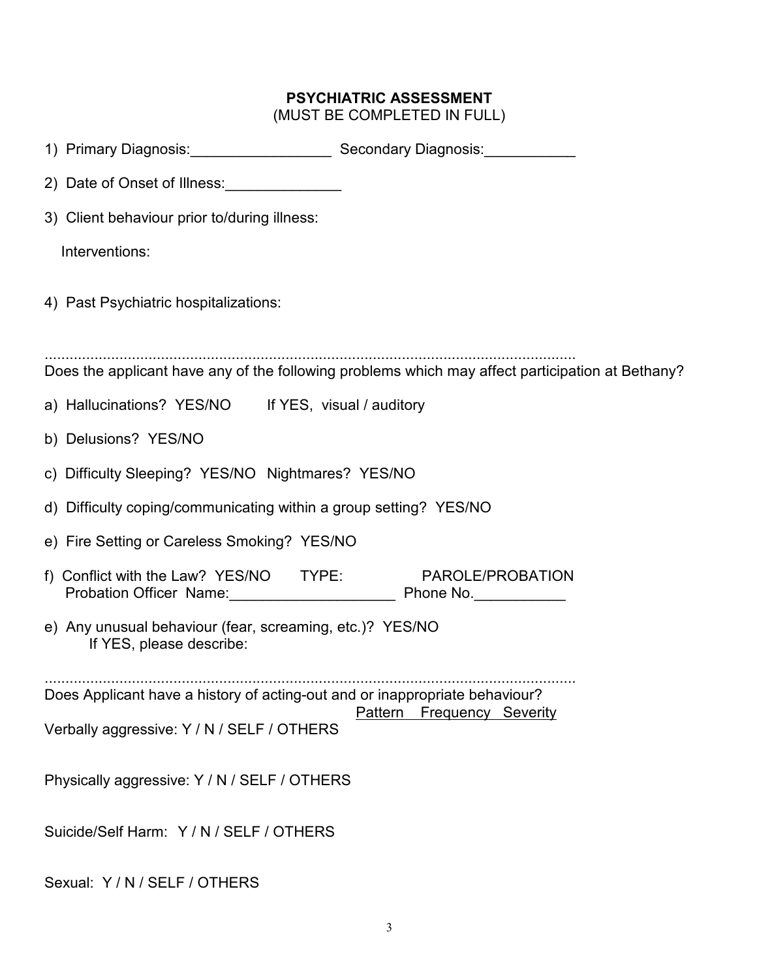# **PSYCHIATRIC ASSESSMENT**

(MUST BE COMPLETED IN FULL)

| 1) Primary Diagnosis: Secondary Diagnosis: Manuscription of Diagnosis:                                                    |                                                                                                  |
|---------------------------------------------------------------------------------------------------------------------------|--------------------------------------------------------------------------------------------------|
| 2) Date of Onset of Illness:                                                                                              |                                                                                                  |
| 3) Client behaviour prior to/during illness:                                                                              |                                                                                                  |
| Interventions:                                                                                                            |                                                                                                  |
| 4) Past Psychiatric hospitalizations:                                                                                     |                                                                                                  |
|                                                                                                                           | Does the applicant have any of the following problems which may affect participation at Bethany? |
| a) Hallucinations? YES/NO If YES, visual / auditory                                                                       |                                                                                                  |
| b) Delusions? YES/NO                                                                                                      |                                                                                                  |
| c) Difficulty Sleeping? YES/NO Nightmares? YES/NO                                                                         |                                                                                                  |
| d) Difficulty coping/communicating within a group setting? YES/NO                                                         |                                                                                                  |
| e) Fire Setting or Careless Smoking? YES/NO                                                                               |                                                                                                  |
| f) Conflict with the Law? $YES/NO$ TYPE:                                                                                  | PAROLE/PROBATION                                                                                 |
| e) Any unusual behaviour (fear, screaming, etc.)? YES/NO<br>If YES, please describe:                                      |                                                                                                  |
| Does Applicant have a history of acting-out and or inappropriate behaviour?<br>Verbally aggressive: Y / N / SELF / OTHERS | Pattern<br><b>Frequency Severity</b>                                                             |
| Physically aggressive: Y / N / SELF / OTHERS                                                                              |                                                                                                  |
| Suicide/Self Harm: Y / N / SELF / OTHERS                                                                                  |                                                                                                  |

Sexual: Y / N / SELF / OTHERS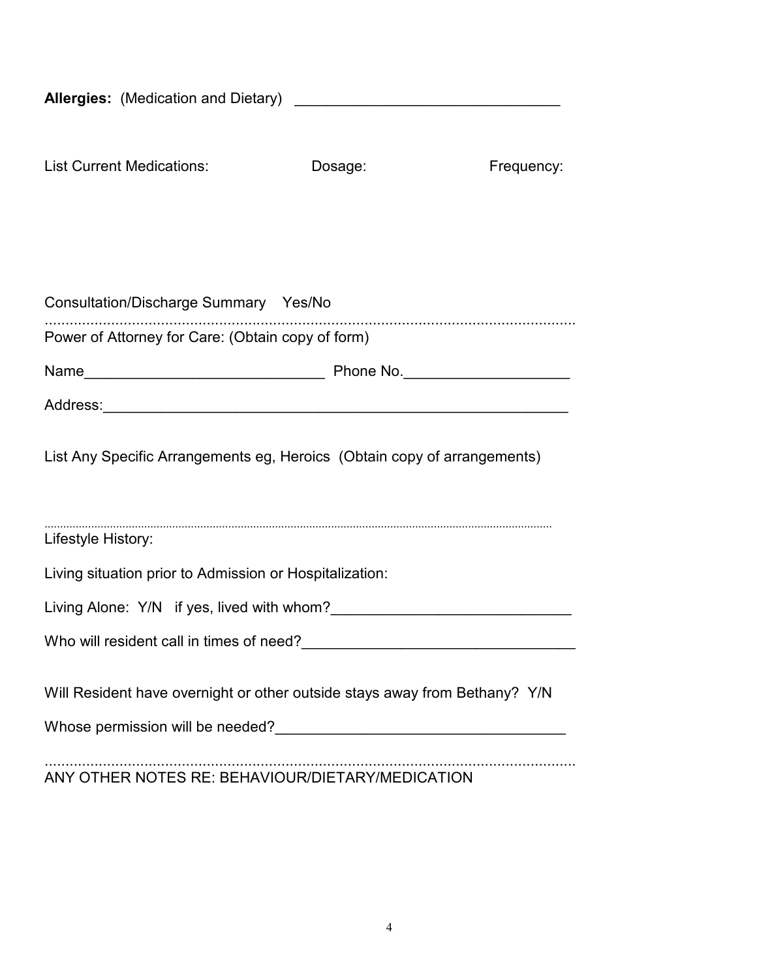| <b>List Current Medications:</b>                                           | Dosage: | Frequency: |
|----------------------------------------------------------------------------|---------|------------|
|                                                                            |         |            |
| Consultation/Discharge Summary Yes/No                                      |         |            |
| Power of Attorney for Care: (Obtain copy of form)                          |         |            |
|                                                                            |         |            |
|                                                                            |         |            |
| List Any Specific Arrangements eg, Heroics (Obtain copy of arrangements)   |         |            |
| Lifestyle History:                                                         |         |            |
| Living situation prior to Admission or Hospitalization:                    |         |            |
|                                                                            |         |            |
| Who will resident call in times of need?                                   |         |            |
|                                                                            |         |            |
| Will Resident have overnight or other outside stays away from Bethany? Y/N |         |            |
|                                                                            |         |            |
|                                                                            |         |            |

ANY OTHER NOTES RE: BEHAVIOUR/DIETARY/MEDICATION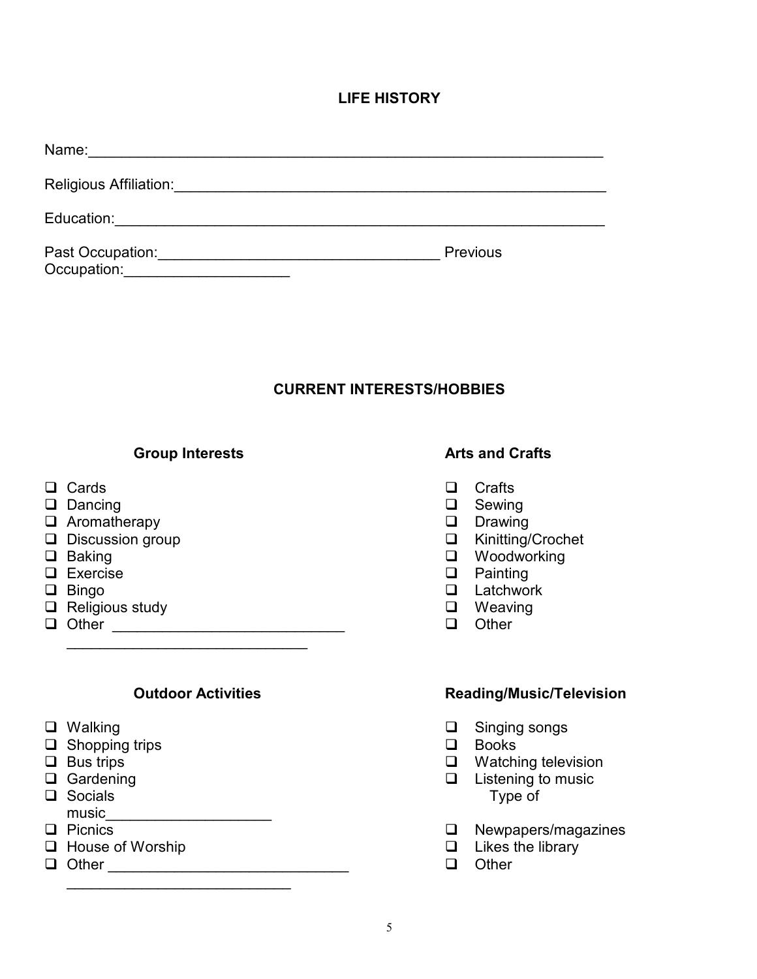## **LIFE HISTORY**

| Name:                           |                 |
|---------------------------------|-----------------|
| Religious Affiliation:          |                 |
| Education:                      |                 |
| Past Occupation:<br>Occupation: | <b>Previous</b> |

# **CURRENT INTERESTS/HOBBIES**

#### **Group Interests Arts and Crafts**

- 
- □ Dancing <br>□ Aromatherapy Drawing
- $\square$  Aromatherapy<br>  $\square$  Discussion group
- 
- 
- 
- 
- <p>□ Religious study</p>\n<p>□ Neting</p>\n<p>□ Other</p>\n<p>□ Other</p>
- Other \_\_\_\_\_\_\_\_\_\_\_\_\_\_\_\_\_\_\_\_\_\_\_\_\_\_\_\_ Other

\_\_\_\_\_\_\_\_\_\_\_\_\_\_\_\_\_\_\_\_\_\_\_\_\_\_\_

\_\_\_\_\_\_\_\_\_\_\_\_\_\_\_\_\_\_\_\_\_\_\_\_\_\_\_\_\_

- 
- $\Box$  Shopping trips
- 
- 
- $\Box$  Socials
- music\_\_\_\_\_\_\_\_\_\_\_\_\_\_\_\_\_\_\_\_
- $\Box$  House of Worship
- 

- $\square$  Cards  $\square$  Crafts  $\square$ 
	-
	-
	- □ Kinitting/Crochet
- Baking Woodworking
- Exercise Painting
	- $\Box$  Latchwork
	-
	-

### **Outdoor Activities Community Controllering Reading/Music/Television**

- □ Walking Singing songs<br>□ Shopping trips Books
	-
- □ Bus trips **Watching television**
- □ Gardening and the contract of the contract of the contract of the contract of the contract of the contract of the contract of the contract of the contract of the contract of the contract of the contract of the contract
	- $\Box$  Newpapers/magazines<br> $\Box$  Likes the library
	-
- Other \_\_\_\_\_\_\_\_\_\_\_\_\_\_\_\_\_\_\_\_\_\_\_\_\_\_\_\_\_ Other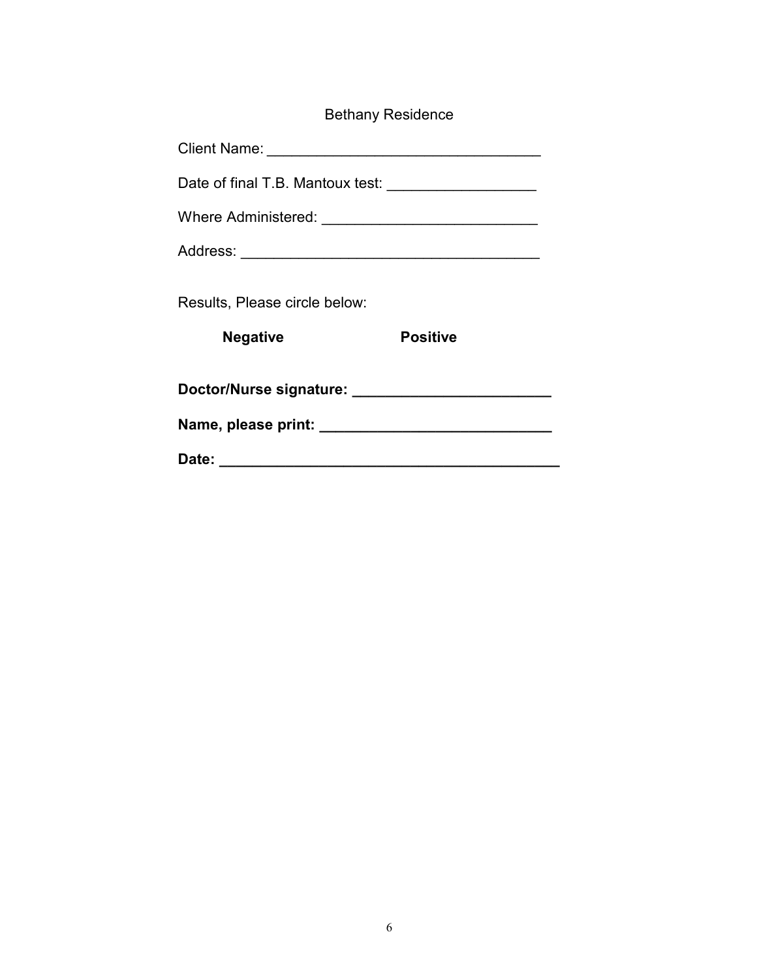| <b>Bethany Residence</b> |
|--------------------------|
|                          |

|                               | Date of final T.B. Mantoux test: ______________________ |
|-------------------------------|---------------------------------------------------------|
|                               |                                                         |
|                               |                                                         |
| Results, Please circle below: |                                                         |
| <b>Negative</b>               | <b>Positive</b>                                         |
|                               |                                                         |
|                               |                                                         |
|                               |                                                         |
|                               |                                                         |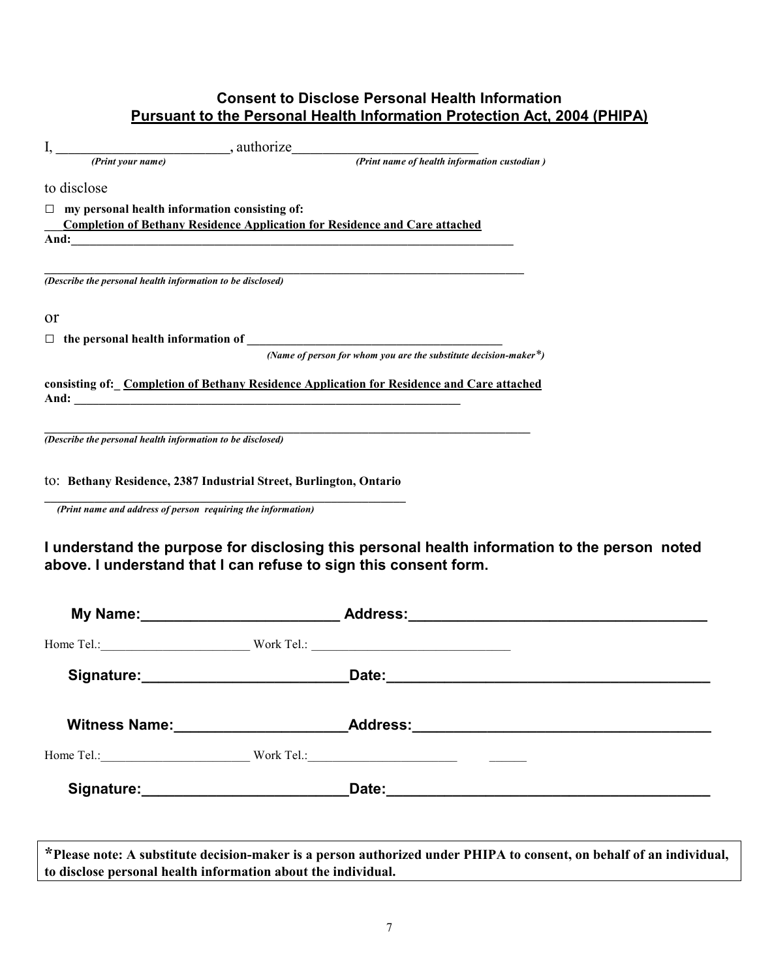## **Consent to Disclose Personal Health Information Pursuant to the Personal Health Information Protection Act, 2004 (PHIPA)**

|        | to disclose                                                  |                                                                                                                                                                                                                                      |
|--------|--------------------------------------------------------------|--------------------------------------------------------------------------------------------------------------------------------------------------------------------------------------------------------------------------------------|
| $\Box$ | my personal health information consisting of:                |                                                                                                                                                                                                                                      |
|        |                                                              | <b>Completion of Bethany Residence Application for Residence and Care attached</b>                                                                                                                                                   |
|        |                                                              | And: <u>contract the contract of the contract of the contract of the contract of the contract of the contract of the contract of the contract of the contract of the contract of the contract of the contract of the contract of</u> |
|        |                                                              |                                                                                                                                                                                                                                      |
|        | (Describe the personal health information to be disclosed)   |                                                                                                                                                                                                                                      |
| or     |                                                              |                                                                                                                                                                                                                                      |
|        |                                                              |                                                                                                                                                                                                                                      |
|        |                                                              | (Name of person for whom you are the substitute decision-maker*)                                                                                                                                                                     |
|        |                                                              | consisting of: Completion of Bethany Residence Application for Residence and Care attached                                                                                                                                           |
|        |                                                              |                                                                                                                                                                                                                                      |
|        | (Describe the personal health information to be disclosed)   |                                                                                                                                                                                                                                      |
|        |                                                              | to: Bethany Residence, 2387 Industrial Street, Burlington, Ontario                                                                                                                                                                   |
|        | (Print name and address of person requiring the information) |                                                                                                                                                                                                                                      |

**I understand the purpose for disclosing this personal health information to the person noted above. I understand that I can refuse to sign this consent form.** 

|  | My Name: __________________________________Address: ____________________________  |  |
|--|-----------------------------------------------------------------------------------|--|
|  |                                                                                   |  |
|  |                                                                                   |  |
|  | Witness Name: _______________________________Address:____________________________ |  |
|  |                                                                                   |  |
|  |                                                                                   |  |
|  |                                                                                   |  |
|  |                                                                                   |  |

**\*Please note: A substitute decision-maker is a person authorized under PHIPA to consent, on behalf of an individual, to disclose personal health information about the individual.**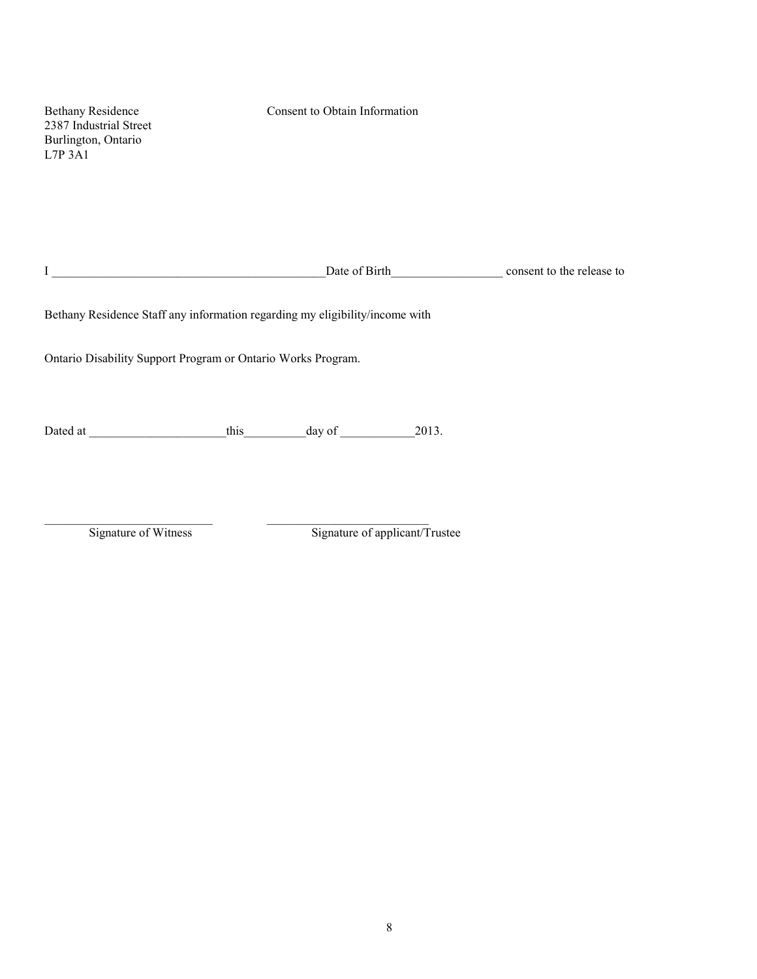| <b>Bethany Residence</b><br>2387 Industrial Street<br>Burlington, Ontario<br>$L7P$ 3A1                                                                                                                                         | Consent to Obtain Information                                                |  |
|--------------------------------------------------------------------------------------------------------------------------------------------------------------------------------------------------------------------------------|------------------------------------------------------------------------------|--|
| $\mathbf I$<br><u> 1990 - Johann Barbara, martxa alemaniar a</u>                                                                                                                                                               | Date of Birth consent to the release to                                      |  |
|                                                                                                                                                                                                                                | Bethany Residence Staff any information regarding my eligibility/income with |  |
| Ontario Disability Support Program or Ontario Works Program.                                                                                                                                                                   |                                                                              |  |
|                                                                                                                                                                                                                                |                                                                              |  |
| Dated at the state of the state of the state of the state of the state of the state of the state of the state of the state of the state of the state of the state of the state of the state of the state of the state of the s | this day of<br>2013.                                                         |  |
|                                                                                                                                                                                                                                |                                                                              |  |

 $\_$  , and the set of the set of the set of the set of the set of the set of the set of the set of the set of the set of the set of the set of the set of the set of the set of the set of the set of the set of the set of th

Signature of Witness Signature of applicant/Trustee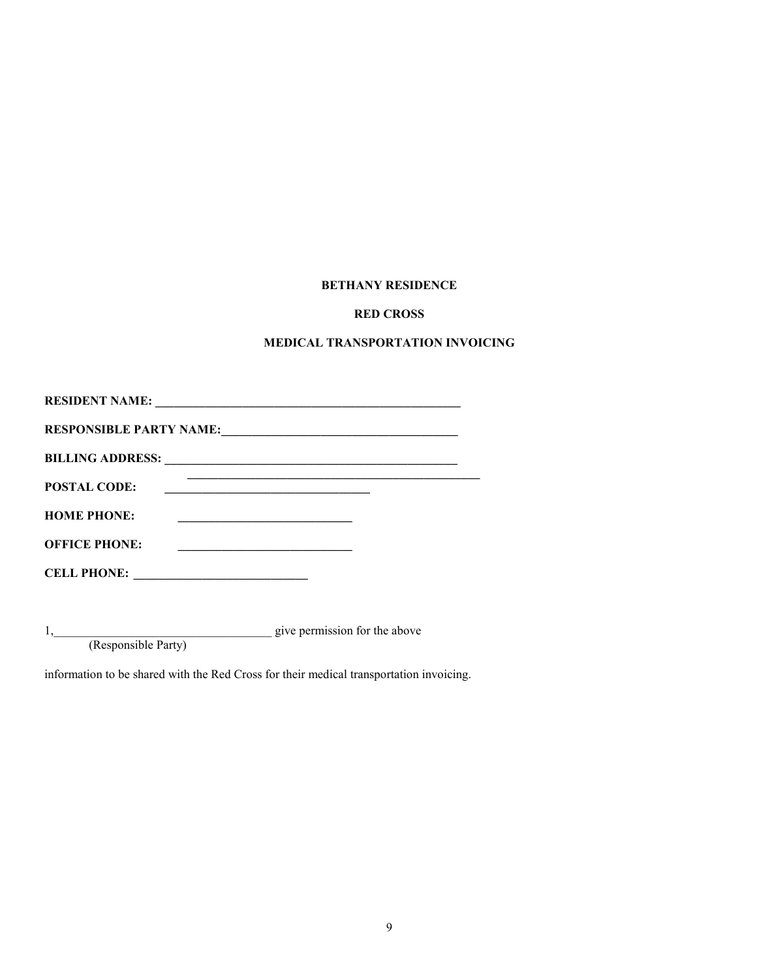#### **BETHANY RESIDENCE**

#### **RED CROSS**

#### **MEDICAL TRANSPORTATION INVOICING**

| <b>RESIDENT NAME:</b><br><u> 1980 - Jan Barbara, martxa al II-lea (h. 1980).</u>                      |
|-------------------------------------------------------------------------------------------------------|
| <b>RESPONSIBLE PARTY NAME:</b>                                                                        |
| <b>BILLING ADDRESS:</b><br><u> 1989 - Johann Stoff, amerikansk politiker (d. 1989)</u>                |
| <b>POSTAL CODE:</b>                                                                                   |
| <b>HOME PHONE:</b>                                                                                    |
| <b>OFFICE PHONE:</b>                                                                                  |
| <b>CELL PHONE:</b><br>the contract of the contract of the contract of the contract of the contract of |

1,\_\_\_\_\_\_\_\_\_\_\_\_\_\_\_\_\_\_\_\_\_\_\_\_\_\_\_\_\_\_\_\_\_\_\_ give permission for the above

(Responsible Party)

information to be shared with the Red Cross for their medical transportation invoicing.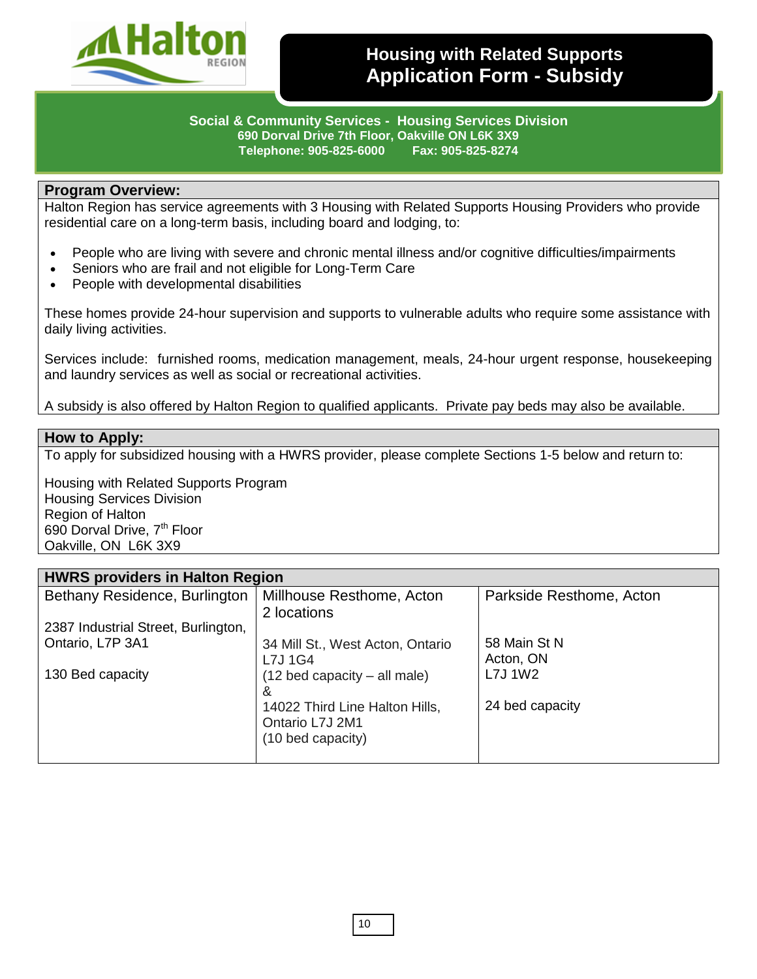

# **Housing with Related Supports Application Form - Subsidy**

**Social & Community Services - Housing Services Division 690 Dorval Drive 7th Floor, Oakville ON L6K 3X9 Telephone: 905-825-6000 Fax: 905-825-8274**

#### **Program Overview:**

Halton Region has service agreements with 3 Housing with Related Supports Housing Providers who provide residential care on a long-term basis, including board and lodging, to:

- People who are living with severe and chronic mental illness and/or cognitive difficulties/impairments
- Seniors who are frail and not eligible for Long-Term Care
- People with developmental disabilities

These homes provide 24-hour supervision and supports to vulnerable adults who require some assistance with daily living activities.

Services include: furnished rooms, medication management, meals, 24-hour urgent response, housekeeping and laundry services as well as social or recreational activities.

A subsidy is also offered by Halton Region to qualified applicants. Private pay beds may also be available.

#### **How to Apply:**

To apply for subsidized housing with a HWRS provider, please complete Sections 1-5 below and return to:

Housing with Related Supports Program Housing Services Division Region of Halton 690 Dorval Drive, 7<sup>th</sup> Floor Oakville, ON L6K 3X9

| <b>HWRS providers in Halton Region</b> |                                                                        |                           |  |
|----------------------------------------|------------------------------------------------------------------------|---------------------------|--|
| Bethany Residence, Burlington          | Millhouse Resthome, Acton<br>2 locations                               | Parkside Resthome, Acton  |  |
| 2387 Industrial Street, Burlington,    |                                                                        |                           |  |
| Ontario, L7P 3A1                       | 34 Mill St., West Acton, Ontario<br>L7J 1G4                            | 58 Main St N<br>Acton, ON |  |
| 130 Bed capacity                       | (12 bed capacity – all male)<br>&                                      | L7J 1W2                   |  |
|                                        | 14022 Third Line Halton Hills,<br>Ontario L7J 2M1<br>(10 bed capacity) | 24 bed capacity           |  |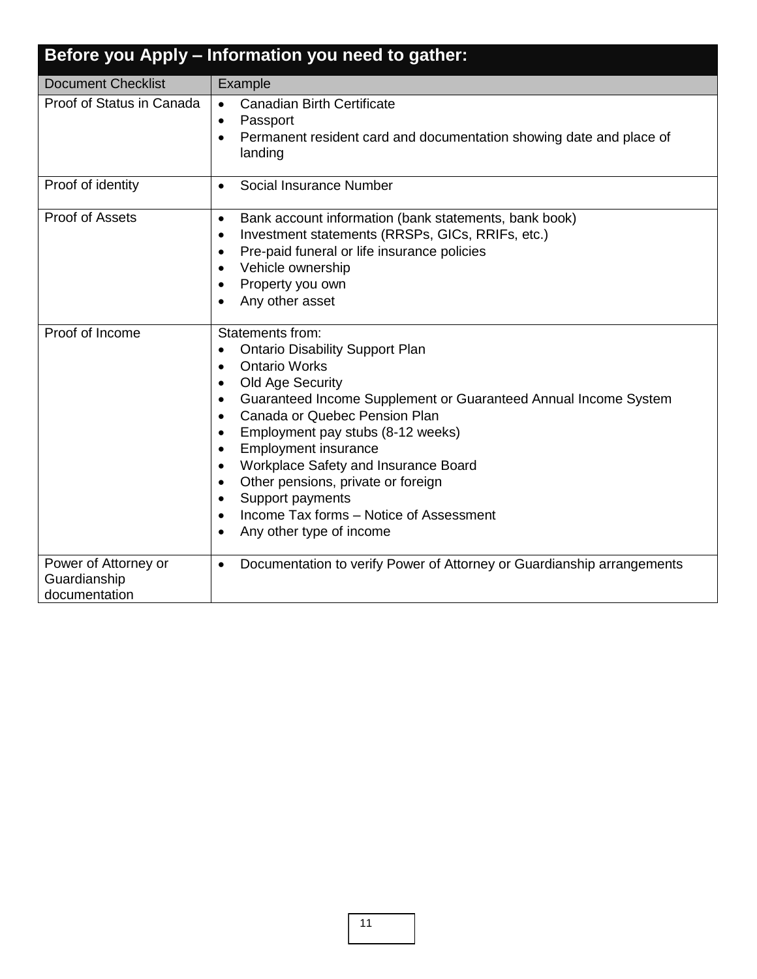| Before you Apply - Information you need to gather:    |                                                                                                                                                                                                                                                                                                                                                                                                                                                                                                                                                                                                                     |  |
|-------------------------------------------------------|---------------------------------------------------------------------------------------------------------------------------------------------------------------------------------------------------------------------------------------------------------------------------------------------------------------------------------------------------------------------------------------------------------------------------------------------------------------------------------------------------------------------------------------------------------------------------------------------------------------------|--|
| <b>Document Checklist</b>                             | Example                                                                                                                                                                                                                                                                                                                                                                                                                                                                                                                                                                                                             |  |
| Proof of Status in Canada                             | <b>Canadian Birth Certificate</b><br>$\bullet$<br>Passport<br>$\bullet$<br>Permanent resident card and documentation showing date and place of<br>$\bullet$<br>landing                                                                                                                                                                                                                                                                                                                                                                                                                                              |  |
| Proof of identity                                     | Social Insurance Number<br>$\bullet$                                                                                                                                                                                                                                                                                                                                                                                                                                                                                                                                                                                |  |
| Proof of Assets                                       | Bank account information (bank statements, bank book)<br>$\bullet$<br>Investment statements (RRSPs, GICs, RRIFs, etc.)<br>$\bullet$<br>Pre-paid funeral or life insurance policies<br>$\bullet$<br>Vehicle ownership<br>$\bullet$<br>Property you own<br>$\bullet$<br>Any other asset<br>$\bullet$                                                                                                                                                                                                                                                                                                                  |  |
| Proof of Income                                       | Statements from:<br><b>Ontario Disability Support Plan</b><br>$\bullet$<br><b>Ontario Works</b><br>$\bullet$<br>Old Age Security<br>$\bullet$<br>Guaranteed Income Supplement or Guaranteed Annual Income System<br>$\bullet$<br>Canada or Quebec Pension Plan<br>$\bullet$<br>Employment pay stubs (8-12 weeks)<br>$\bullet$<br><b>Employment insurance</b><br>$\bullet$<br>Workplace Safety and Insurance Board<br>$\bullet$<br>Other pensions, private or foreign<br>$\bullet$<br>Support payments<br>$\bullet$<br>Income Tax forms - Notice of Assessment<br>$\bullet$<br>Any other type of income<br>$\bullet$ |  |
| Power of Attorney or<br>Guardianship<br>documentation | Documentation to verify Power of Attorney or Guardianship arrangements<br>$\bullet$                                                                                                                                                                                                                                                                                                                                                                                                                                                                                                                                 |  |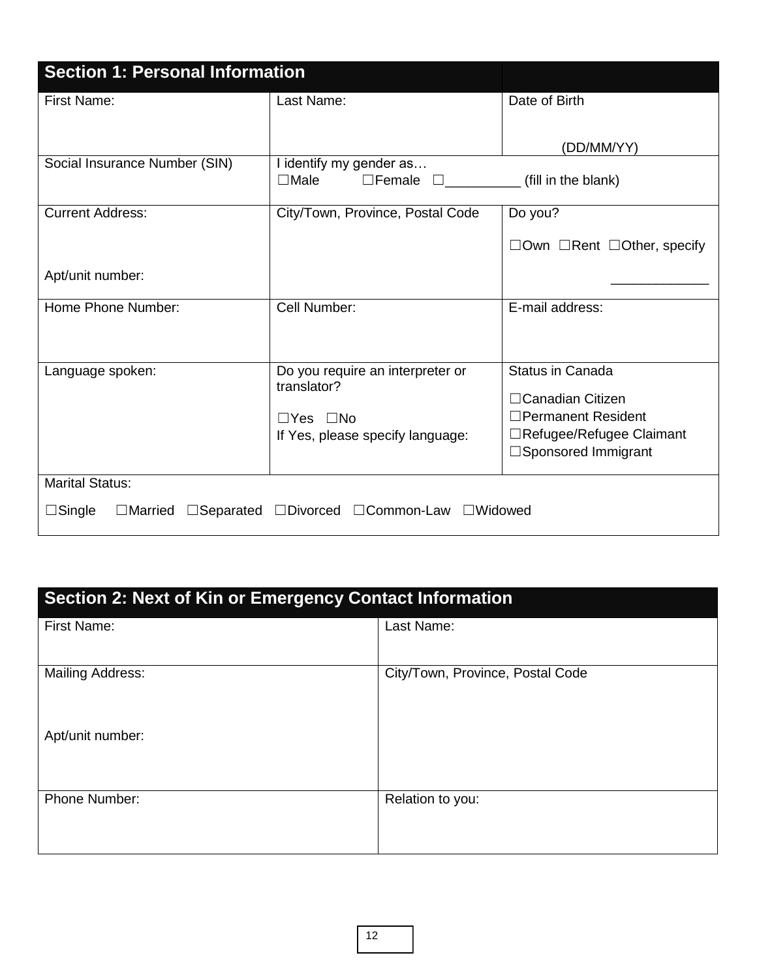| <b>Section 1: Personal Information</b>  |                                                                                                             |                                                                                                                           |
|-----------------------------------------|-------------------------------------------------------------------------------------------------------------|---------------------------------------------------------------------------------------------------------------------------|
| First Name:                             | Last Name:                                                                                                  | Date of Birth                                                                                                             |
|                                         |                                                                                                             | (DD/MM/YY)                                                                                                                |
| Social Insurance Number (SIN)           | I identify my gender as<br>$\square$ Female<br>$\Box$ Male                                                  | (fill in the blank)                                                                                                       |
| <b>Current Address:</b>                 | City/Town, Province, Postal Code                                                                            | Do you?                                                                                                                   |
|                                         |                                                                                                             | $\Box$ Own $\Box$ Rent $\Box$ Other, specify                                                                              |
| Apt/unit number:                        |                                                                                                             |                                                                                                                           |
| Home Phone Number:                      | Cell Number:                                                                                                | E-mail address:                                                                                                           |
| Language spoken:                        | Do you require an interpreter or<br>translator?<br>$\Box$ Yes $\Box$ No<br>If Yes, please specify language: | <b>Status in Canada</b><br>□ Canadian Citizen<br>□Permanent Resident<br>□Refugee/Refugee Claimant<br>□Sponsored Immigrant |
| <b>Marital Status:</b><br>$\Box$ Single | □Married □Separated □Divorced □Common-Law □Widowed                                                          |                                                                                                                           |

# **Section 2: Next of Kin or Emergency Contact Information**

| First Name:             | Last Name:                       |
|-------------------------|----------------------------------|
| <b>Mailing Address:</b> | City/Town, Province, Postal Code |
| Apt/unit number:        |                                  |
| Phone Number:           | Relation to you:                 |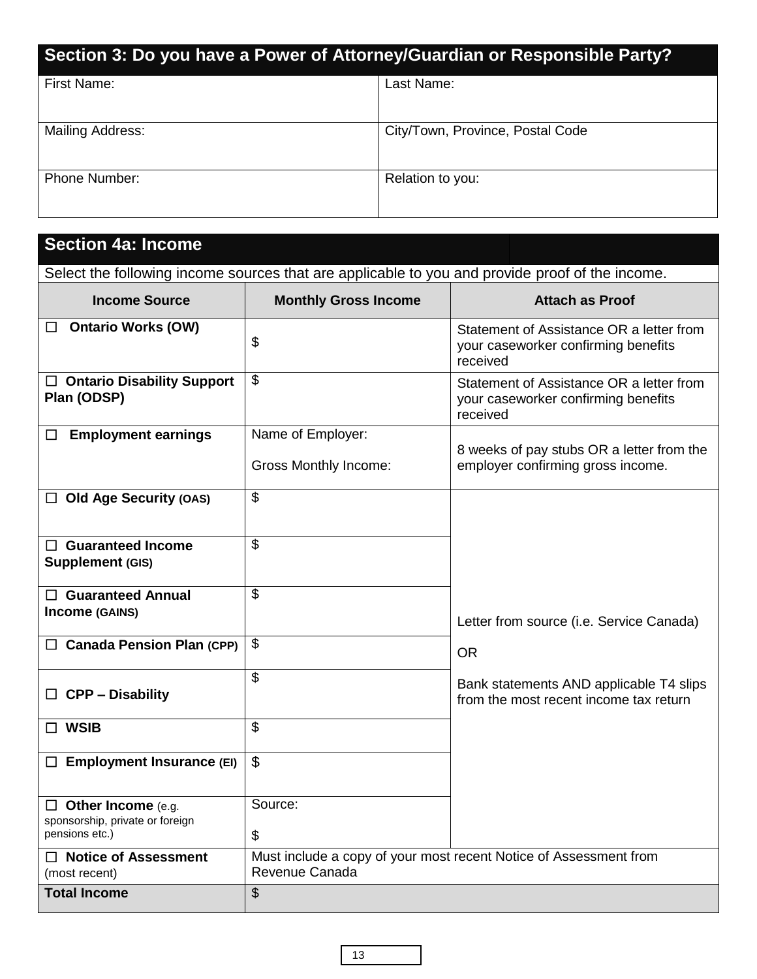| Section 3: Do you have a Power of Attorney/Guardian or Responsible Party? |                                  |
|---------------------------------------------------------------------------|----------------------------------|
| First Name:                                                               | Last Name:                       |
| Mailing Address:                                                          | City/Town, Province, Postal Code |
| <b>Phone Number:</b>                                                      | Relation to you:                 |

| <b>Section 4a: Income</b>                                                                       |                                                   |                                                                                             |  |
|-------------------------------------------------------------------------------------------------|---------------------------------------------------|---------------------------------------------------------------------------------------------|--|
| Select the following income sources that are applicable to you and provide proof of the income. |                                                   |                                                                                             |  |
| <b>Income Source</b>                                                                            | <b>Monthly Gross Income</b>                       | <b>Attach as Proof</b>                                                                      |  |
| <b>Ontario Works (OW)</b><br>$\Box$                                                             | \$                                                | Statement of Assistance OR a letter from<br>your caseworker confirming benefits<br>received |  |
| $\Box$ Ontario Disability Support<br>Plan (ODSP)                                                | \$                                                | Statement of Assistance OR a letter from<br>your caseworker confirming benefits<br>received |  |
| <b>Employment earnings</b><br>$\Box$                                                            | Name of Employer:<br><b>Gross Monthly Income:</b> | 8 weeks of pay stubs OR a letter from the<br>employer confirming gross income.              |  |
| $\Box$ Old Age Security (OAS)                                                                   | \$                                                |                                                                                             |  |
| $\Box$ Guaranteed Income<br>Supplement (GIS)                                                    | \$                                                |                                                                                             |  |
| $\Box$ Guaranteed Annual<br>Income (GAINS)                                                      | \$                                                | Letter from source (i.e. Service Canada)                                                    |  |
| $\Box$ Canada Pension Plan (CPP)                                                                | \$                                                | <b>OR</b>                                                                                   |  |
| <b>CPP - Disability</b>                                                                         | $\mathfrak{S}$                                    | Bank statements AND applicable T4 slips<br>from the most recent income tax return           |  |
| $\Box$ WSIB                                                                                     | \$                                                |                                                                                             |  |
| <b>Employment Insurance (EI)</b>                                                                | \$                                                |                                                                                             |  |
| $\Box$ Other Income (e.g.<br>sponsorship, private or foreign<br>pensions etc.)                  | Source:<br>\$                                     |                                                                                             |  |
| <b>Notice of Assessment</b><br>(most recent)                                                    | Revenue Canada                                    | Must include a copy of your most recent Notice of Assessment from                           |  |
| <b>Total Income</b>                                                                             | \$                                                |                                                                                             |  |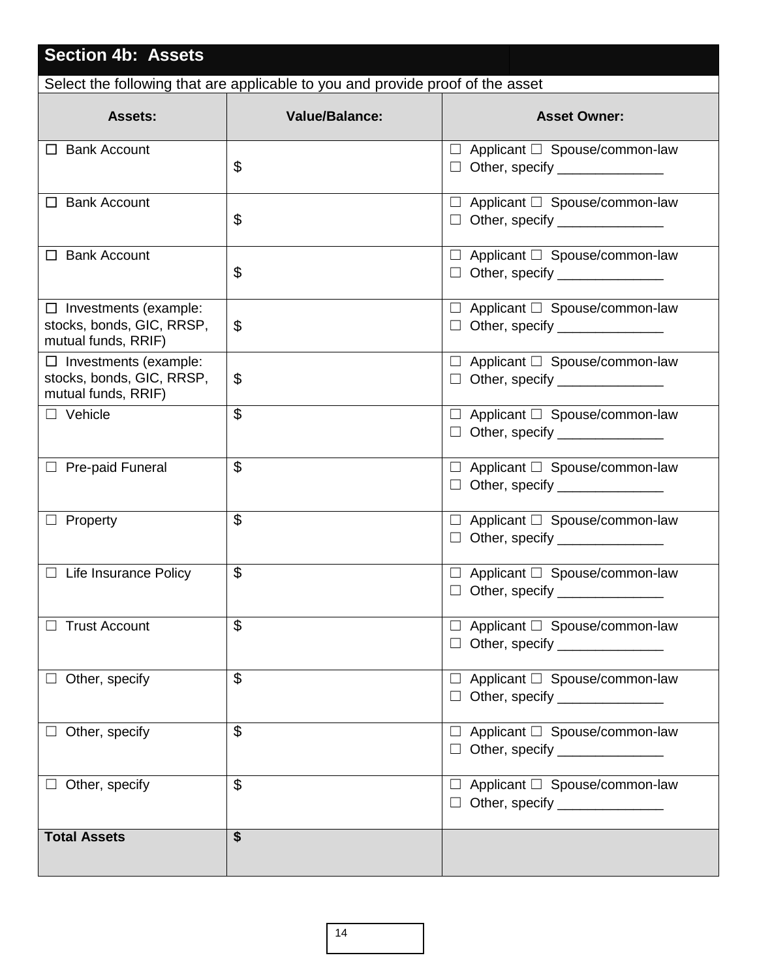| <b>Section 4b: Assets</b>                                                        |                       |                                                                                       |  |
|----------------------------------------------------------------------------------|-----------------------|---------------------------------------------------------------------------------------|--|
| Select the following that are applicable to you and provide proof of the asset   |                       |                                                                                       |  |
| <b>Assets:</b>                                                                   | <b>Value/Balance:</b> | <b>Asset Owner:</b>                                                                   |  |
| $\Box$ Bank Account                                                              | \$                    | $\Box$ Applicant $\Box$ Spouse/common-law<br>$\Box$ Other, specify _______________    |  |
| $\Box$ Bank Account                                                              | \$                    | $\Box$ Applicant $\Box$ Spouse/common-law                                             |  |
| $\Box$ Bank Account                                                              | \$                    | $\Box$ Applicant $\Box$ Spouse/common-law<br>$\Box$ Other, specify _________________  |  |
| $\Box$ Investments (example:<br>stocks, bonds, GIC, RRSP,<br>mutual funds, RRIF) | \$                    | $\Box$ Applicant $\Box$ Spouse/common-law                                             |  |
| $\Box$ Investments (example:<br>stocks, bonds, GIC, RRSP,<br>mutual funds, RRIF) | \$                    | $\Box$ Applicant $\Box$ Spouse/common-law<br>$\Box$ Other, specify ______________     |  |
| $\Box$ Vehicle                                                                   | \$                    | $\Box$ Applicant $\Box$ Spouse/common-law<br>$\Box$ Other, specify _________________  |  |
| $\Box$ Pre-paid Funeral                                                          | \$                    | $\Box$ Applicant $\Box$ Spouse/common-law<br>$\Box$ Other, specify _________________  |  |
| $\Box$ Property                                                                  | \$                    | $\Box$ Applicant $\Box$ Spouse/common-law<br>$\Box$ Other, specify __________________ |  |
| $\Box$ Life Insurance Policy                                                     | \$                    | $\Box$ Applicant $\Box$ Spouse/common-law<br>$\Box$ Other, specify $\Box$             |  |
| <b>Trust Account</b>                                                             | $\mathfrak{P}$        | $\Box$ Applicant $\Box$ Spouse/common-law<br>□ Other, specify _______________         |  |
| $\Box$ Other, specify                                                            | $\mathfrak{L}$        | $\Box$ Applicant $\Box$ Spouse/common-law<br>□ Other, specify _______________         |  |
| $\Box$ Other, specify                                                            | \$                    | $\Box$ Applicant $\Box$ Spouse/common-law<br>□ Other, specify _______________         |  |
| $\Box$ Other, specify                                                            | \$                    | $\Box$ Applicant $\Box$ Spouse/common-law<br>$\Box$ Other, specify ______________     |  |
| <b>Total Assets</b>                                                              | \$                    |                                                                                       |  |